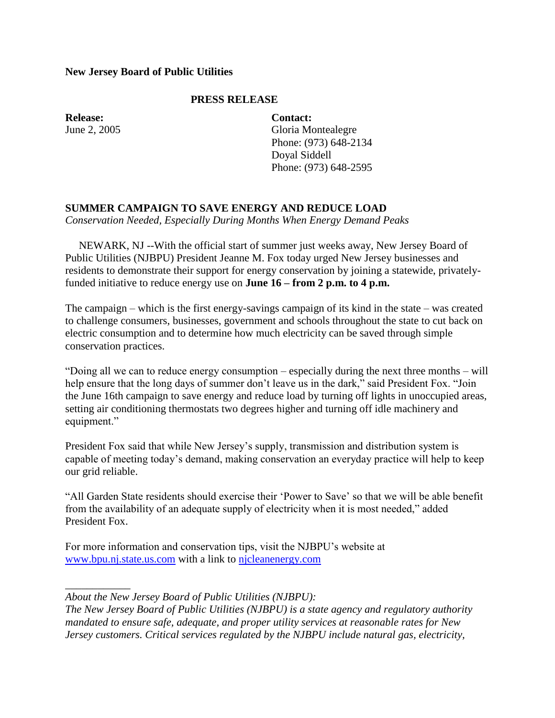## **New Jersey Board of Public Utilities**

## **PRESS RELEASE**

**Release:** June 2, 2005 **Contact:** Gloria Montealegre Phone: (973) 648-2134 Doyal Siddell Phone: (973) 648-2595

## **SUMMER CAMPAIGN TO SAVE ENERGY AND REDUCE LOAD**

*Conservation Needed, Especially During Months When Energy Demand Peaks*

 NEWARK, NJ --With the official start of summer just weeks away, New Jersey Board of Public Utilities (NJBPU) President Jeanne M. Fox today urged New Jersey businesses and residents to demonstrate their support for energy conservation by joining a statewide, privatelyfunded initiative to reduce energy use on **June 16 – from 2 p.m. to 4 p.m.**

The campaign – which is the first energy-savings campaign of its kind in the state – was created to challenge consumers, businesses, government and schools throughout the state to cut back on electric consumption and to determine how much electricity can be saved through simple conservation practices.

"Doing all we can to reduce energy consumption – especially during the next three months – will help ensure that the long days of summer don't leave us in the dark," said President Fox. "Join the June 16th campaign to save energy and reduce load by turning off lights in unoccupied areas, setting air conditioning thermostats two degrees higher and turning off idle machinery and equipment."

President Fox said that while New Jersey's supply, transmission and distribution system is capable of meeting today"s demand, making conservation an everyday practice will help to keep our grid reliable.

"All Garden State residents should exercise their "Power to Save" so that we will be able benefit from the availability of an adequate supply of electricity when it is most needed," added President Fox.

For more information and conservation tips, visit the NJBPU"s website at [www.bpu.nj.state.us.com](http://www.bpu.nj.state.us.com/) with a link to [njcleanenergy.com](http://njcleanenergy.com/)

*About the New Jersey Board of Public Utilities (NJBPU):*

*\_\_\_\_\_\_\_\_\_\_\_\_*

*The New Jersey Board of Public Utilities (NJBPU) is a state agency and regulatory authority mandated to ensure safe, adequate, and proper utility services at reasonable rates for New Jersey customers. Critical services regulated by the NJBPU include natural gas, electricity,*